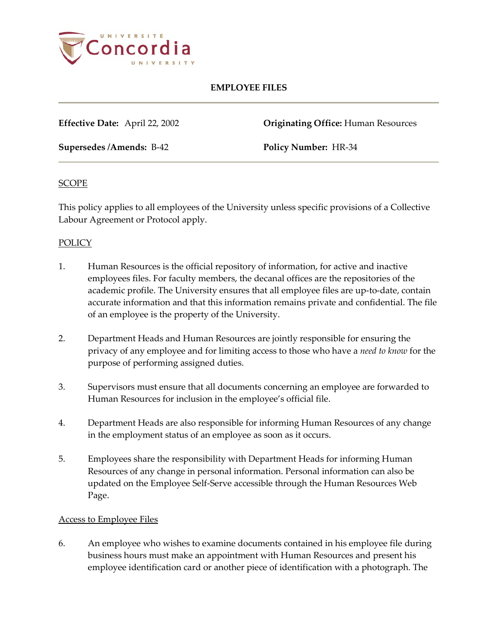

# **EMPLOYEE FILES**

**Effective Date:** April 22, 2002 **Originating Office:** Human Resources

**Supersedes /Amends:** B-42 **Policy Number:** HR-34

#### **SCOPE**

This policy applies to all employees of the University unless specific provisions of a Collective Labour Agreement or Protocol apply.

# POLICY

- 1. Human Resources is the official repository of information, for active and inactive employees files. For faculty members, the decanal offices are the repositories of the academic profile. The University ensures that all employee files are up-to-date, contain accurate information and that this information remains private and confidential. The file of an employee is the property of the University.
- 2. Department Heads and Human Resources are jointly responsible for ensuring the privacy of any employee and for limiting access to those who have a *need to know* for the purpose of performing assigned duties.
- 3. Supervisors must ensure that all documents concerning an employee are forwarded to Human Resources for inclusion in the employee's official file.
- 4. Department Heads are also responsible for informing Human Resources of any change in the employment status of an employee as soon as it occurs.
- 5. Employees share the responsibility with Department Heads for informing Human Resources of any change in personal information. Personal information can also be updated on the Employee Self-Serve accessible through the Human Resources Web Page.

# Access to Employee Files

6. An employee who wishes to examine documents contained in his employee file during business hours must make an appointment with Human Resources and present his employee identification card or another piece of identification with a photograph. The